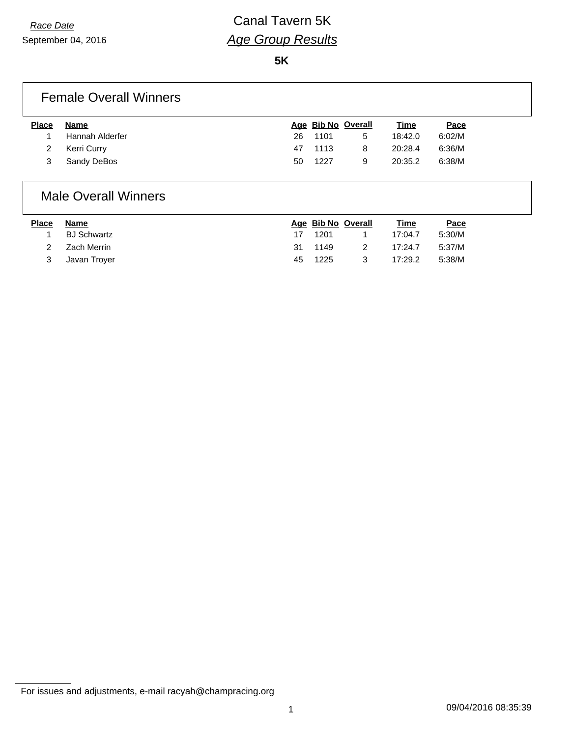**5K**

### Female Overall Winners

| <b>Place</b> | Name            |     | Age Bib No Overall |   | <u>Time</u> | Pace   |
|--------------|-----------------|-----|--------------------|---|-------------|--------|
|              | Hannah Alderfer | 26. | 1101               | 5 | 18:42.0     | 6:02/M |
|              | Kerri Curry     |     | 47 1113            | 8 | 20:28.4     | 6:36/M |
|              | Sandy DeBos     | 50  | 1227               | 9 | 20:35.2     | 6:38/M |

#### Male Overall Winners

| <b>Place</b> | Name         |    | Age Bib No Overall |   | <u>Time</u> | <u>Pace</u> |
|--------------|--------------|----|--------------------|---|-------------|-------------|
|              | BJ Schwartz  |    | 1201               |   | 17:04.7     | 5:30/M      |
| 2            | Zach Merrin  | 31 | 1149               |   | 17:24.7     | 5:37/M      |
| 3            | Javan Trover | 45 | 1225               | 3 | 17:29.2     | 5:38/M      |

For issues and adjustments, e-mail racyah@champracing.org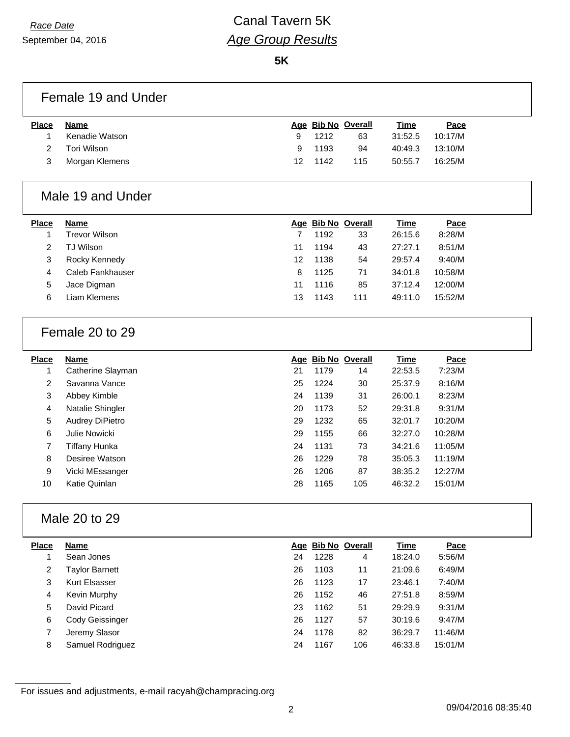**5K**

## Female 19 and Under

| <b>Place</b> | Name           |     | Age Bib No Overall |     | Time    | <u>Pace</u> |
|--------------|----------------|-----|--------------------|-----|---------|-------------|
|              | Kenadie Watson | 9   | 1212               | 63  | 31:52.5 | 10:17/M     |
|              | Tori Wilson    | 9   | 1193               | 94  | 40:49.3 | 13:10/M     |
|              | Morgan Klemens | 12. | 1142               | 115 | 50:55.7 | 16:25/M     |
|              |                |     |                    |     |         |             |

## Male 19 and Under

| <b>Place</b> | <b>Name</b>      |    |      | Age Bib No Overall | <b>Time</b> | Pace    |
|--------------|------------------|----|------|--------------------|-------------|---------|
|              | Trevor Wilson    |    | 1192 | 33                 | 26:15.6     | 8:28/M  |
| 2            | TJ Wilson        | 11 | 1194 | 43                 | 27:27.1     | 8:51/M  |
| 3            | Rocky Kennedy    | 12 | 1138 | 54                 | 29:57.4     | 9:40/M  |
| 4            | Caleb Fankhauser | 8  | 1125 | 71                 | 34:01.8     | 10:58/M |
| 5            | Jace Digman      | 11 | 1116 | 85                 | 37:12.4     | 12:00/M |
| 6            | Liam Klemens     | 13 | 1143 | 111                | 49:11.0     | 15:52/M |
|              |                  |    |      |                    |             |         |

### Female 20 to 29

| <b>Place</b> | <b>Name</b>            |    |      | Age Bib No Overall | <b>Time</b> | Pace    |
|--------------|------------------------|----|------|--------------------|-------------|---------|
| 1            | Catherine Slayman      | 21 | 1179 | 14                 | 22:53.5     | 7:23/M  |
| 2            | Savanna Vance          | 25 | 1224 | 30                 | 25:37.9     | 8:16/M  |
| 3            | Abbey Kimble           | 24 | 1139 | 31                 | 26:00.1     | 8:23/M  |
| 4            | Natalie Shingler       | 20 | 1173 | 52                 | 29:31.8     | 9:31/M  |
| 5            | <b>Audrey DiPietro</b> | 29 | 1232 | 65                 | 32:01.7     | 10:20/M |
| 6            | Julie Nowicki          | 29 | 1155 | 66                 | 32:27.0     | 10:28/M |
| 7            | Tiffany Hunka          | 24 | 1131 | 73                 | 34:21.6     | 11:05/M |
| 8            | Desiree Watson         | 26 | 1229 | 78                 | 35:05.3     | 11:19/M |
| 9            | Vicki MEssanger        | 26 | 1206 | 87                 | 38:35.2     | 12:27/M |
| 10           | Katie Quinlan          | 28 | 1165 | 105                | 46:32.2     | 15:01/M |
|              |                        |    |      |                    |             |         |

### Male 20 to 29

| <b>Place</b> | <b>Name</b>      |    | Age Bib No Overall |     | Time    | Pace    |
|--------------|------------------|----|--------------------|-----|---------|---------|
|              | Sean Jones       | 24 | 1228               | 4   | 18:24.0 | 5:56/M  |
| 2            | Taylor Barnett   | 26 | 1103               | 11  | 21:09.6 | 6:49/M  |
| 3            | Kurt Elsasser    | 26 | 1123               | 17  | 23:46.1 | 7:40/M  |
| 4            | Kevin Murphy     | 26 | 1152               | 46  | 27:51.8 | 8:59/M  |
| 5            | David Picard     | 23 | 1162               | 51  | 29:29.9 | 9:31/M  |
| 6            | Cody Geissinger  | 26 | 1127               | 57  | 30:19.6 | 9:47/M  |
|              | Jeremy Slasor    | 24 | 1178               | 82  | 36:29.7 | 11:46/M |
| 8            | Samuel Rodriguez | 24 | 1167               | 106 | 46:33.8 | 15:01/M |

For issues and adjustments, e-mail racyah@champracing.org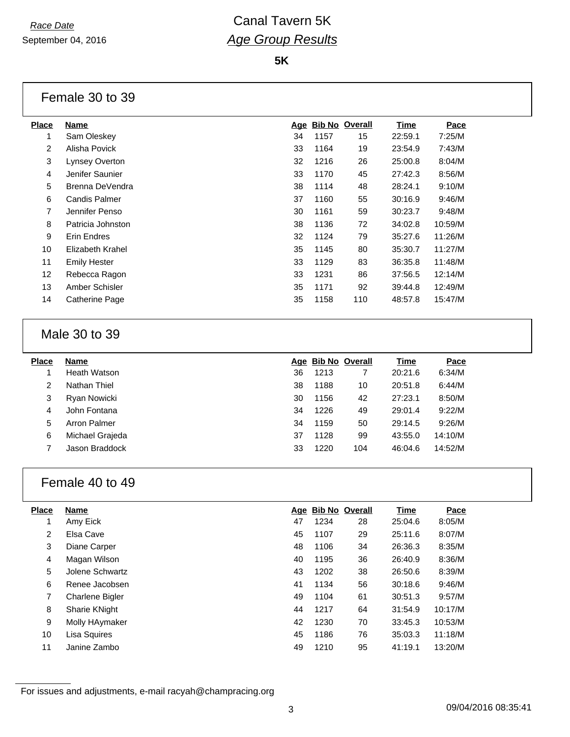**5K**

### Female 30 to 39

| <b>Place</b>   | <b>Name</b>          | Age | <b>Bib No Overall</b> |     | Time    | Pace    |
|----------------|----------------------|-----|-----------------------|-----|---------|---------|
| 1              | Sam Oleskey          | 34  | 1157                  | 15  | 22:59.1 | 7:25/M  |
| $\overline{2}$ | Alisha Povick        | 33  | 1164                  | 19  | 23:54.9 | 7:43/M  |
| 3              | Lynsey Overton       | 32  | 1216                  | 26  | 25:00.8 | 8:04/M  |
| 4              | Jenifer Saunier      | 33  | 1170                  | 45  | 27:42.3 | 8:56/M  |
| 5              | Brenna DeVendra      | 38  | 1114                  | 48  | 28:24.1 | 9:10/M  |
| 6              | <b>Candis Palmer</b> | 37  | 1160                  | 55  | 30:16.9 | 9:46/M  |
| $\overline{7}$ | Jennifer Penso       | 30  | 1161                  | 59  | 30:23.7 | 9:48/M  |
| 8              | Patricia Johnston    | 38  | 1136                  | 72  | 34:02.8 | 10:59/M |
| 9              | Erin Endres          | 32  | 1124                  | 79  | 35:27.6 | 11:26/M |
| 10             | Elizabeth Krahel     | 35  | 1145                  | 80  | 35:30.7 | 11:27/M |
| 11             | <b>Emily Hester</b>  | 33  | 1129                  | 83  | 36:35.8 | 11:48/M |
| 12             | Rebecca Ragon        | 33  | 1231                  | 86  | 37:56.5 | 12:14/M |
| 13             | Amber Schisler       | 35  | 1171                  | 92  | 39:44.8 | 12:49/M |
| 14             | Catherine Page       | 35  | 1158                  | 110 | 48:57.8 | 15:47/M |
|                |                      |     |                       |     |         |         |

### Male 30 to 39

| <b>Place</b> | <b>Name</b>     |    | Age Bib No Overall |     | Time    | Pace    |
|--------------|-----------------|----|--------------------|-----|---------|---------|
|              | Heath Watson    | 36 | 1213               |     | 20:21.6 | 6:34/M  |
| 2            | Nathan Thiel    | 38 | 1188               | 10  | 20:51.8 | 6:44/M  |
| 3            | Ryan Nowicki    | 30 | 1156               | 42  | 27:23.1 | 8:50/M  |
| 4            | John Fontana    | 34 | 1226               | 49  | 29:01.4 | 9:22/M  |
| 5            | Arron Palmer    | 34 | 1159               | 50  | 29:14.5 | 9:26/M  |
| 6            | Michael Grajeda | 37 | 1128               | 99  | 43:55.0 | 14:10/M |
|              | Jason Braddock  | 33 | 1220               | 104 | 46:04.6 | 14:52/M |

### Female 40 to 49

| <b>Place</b> | Name                   |    | Age Bib No Overall |    | Time    | Pace    |
|--------------|------------------------|----|--------------------|----|---------|---------|
|              | Amy Eick               | 47 | 1234               | 28 | 25:04.6 | 8:05/M  |
| 2            | Elsa Cave              | 45 | 1107               | 29 | 25:11.6 | 8:07/M  |
| 3            | Diane Carper           | 48 | 1106               | 34 | 26:36.3 | 8:35/M  |
| 4            | Magan Wilson           | 40 | 1195               | 36 | 26:40.9 | 8:36/M  |
| 5            | Jolene Schwartz        | 43 | 1202               | 38 | 26:50.6 | 8:39/M  |
| 6            | Renee Jacobsen         | 41 | 1134               | 56 | 30:18.6 | 9:46/M  |
| 7            | <b>Charlene Bigler</b> | 49 | 1104               | 61 | 30:51.3 | 9:57/M  |
| 8            | <b>Sharie KNight</b>   | 44 | 1217               | 64 | 31:54.9 | 10:17/M |
| 9            | Molly HAymaker         | 42 | 1230               | 70 | 33:45.3 | 10:53/M |
| 10           | Lisa Squires           | 45 | 1186               | 76 | 35:03.3 | 11:18/M |
| 11           | Janine Zambo           | 49 | 1210               | 95 | 41:19.1 | 13:20/M |

For issues and adjustments, e-mail racyah@champracing.org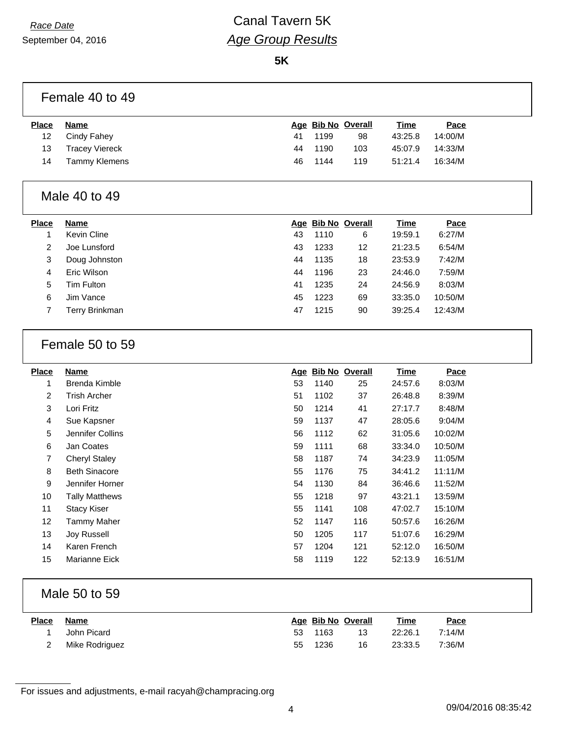**5K**

## Female 40 to 49

| <b>Place</b> | Name                  |    | Age Bib No Overall |     | <u>Time</u> | <u>Pace</u> |
|--------------|-----------------------|----|--------------------|-----|-------------|-------------|
| 12           | Cindy Fahey           | 41 | 1199               | 98  | 43:25.8     | 14:00/M     |
| 13           | <b>Tracey Viereck</b> |    | 44 1190            | 103 | 45:07.9     | 14:33/M     |
| 14           | Tammy Klemens         | 46 | 1144               | 119 | 51:21.4     | 16:34/M     |
|              |                       |    |                    |     |             |             |

#### Male 40 to 49

| <b>Place</b> | <b>Name</b>    |    |      | Age Bib No Overall | <b>Time</b> | Pace    |
|--------------|----------------|----|------|--------------------|-------------|---------|
|              | Kevin Cline    | 43 | 1110 | 6                  | 19:59.1     | 6:27/M  |
| 2            | Joe Lunsford   | 43 | 1233 | 12                 | 21:23.5     | 6:54/M  |
| 3            | Doug Johnston  | 44 | 1135 | 18                 | 23:53.9     | 7:42/M  |
| 4            | Eric Wilson    | 44 | 1196 | 23                 | 24:46.0     | 7:59/M  |
| 5            | Tim Fulton     | 41 | 1235 | 24                 | 24:56.9     | 8:03/M  |
| 6            | Jim Vance      | 45 | 1223 | 69                 | 33:35.0     | 10:50/M |
|              | Terry Brinkman | 47 | 1215 | 90                 | 39:25.4     | 12:43/M |

### Female 50 to 59

| <b>Place</b>   | <b>Name</b>          |    | Age Bib No Overall |     | <b>Time</b> | Pace    |
|----------------|----------------------|----|--------------------|-----|-------------|---------|
|                | Brenda Kimble        | 53 | 1140               | 25  | 24:57.6     | 8:03/M  |
| 2              | Trish Archer         | 51 | 1102               | 37  | 26:48.8     | 8:39/M  |
| 3              | Lori Fritz           | 50 | 1214               | 41  | 27:17.7     | 8:48/M  |
| 4              | Sue Kapsner          | 59 | 1137               | 47  | 28:05.6     | 9:04/M  |
| 5              | Jennifer Collins     | 56 | 1112               | 62  | 31:05.6     | 10:02/M |
| 6              | Jan Coates           | 59 | 1111               | 68  | 33:34.0     | 10:50/M |
| $\overline{7}$ | Cheryl Staley        | 58 | 1187               | 74  | 34:23.9     | 11:05/M |
| 8              | <b>Beth Sinacore</b> | 55 | 1176               | 75  | 34:41.2     | 11:11/M |
| 9              | Jennifer Horner      | 54 | 1130               | 84  | 36:46.6     | 11:52/M |
| 10             | Tally Matthews       | 55 | 1218               | 97  | 43:21.1     | 13:59/M |
| 11             | <b>Stacy Kiser</b>   | 55 | 1141               | 108 | 47:02.7     | 15:10/M |
| 12             | <b>Tammy Maher</b>   | 52 | 1147               | 116 | 50:57.6     | 16:26/M |
| 13             | Joy Russell          | 50 | 1205               | 117 | 51:07.6     | 16:29/M |
| 14             | Karen French         | 57 | 1204               | 121 | 52:12.0     | 16:50/M |
| 15             | Marianne Eick        | 58 | 1119               | 122 | 52:13.9     | 16:51/M |

### Male 50 to 59

| <u>Place</u> | Name           |    | Age Bib No Overall |     | <u>Time</u> | <u>Pace</u> |
|--------------|----------------|----|--------------------|-----|-------------|-------------|
|              | John Picard    |    | 53 1163            | 13  | 22:26.1     | 7:14/M      |
|              | Mike Rodriguez | 55 | 1236               | 16. | 23:33.5     | 7:36/M      |

For issues and adjustments, e-mail racyah@champracing.org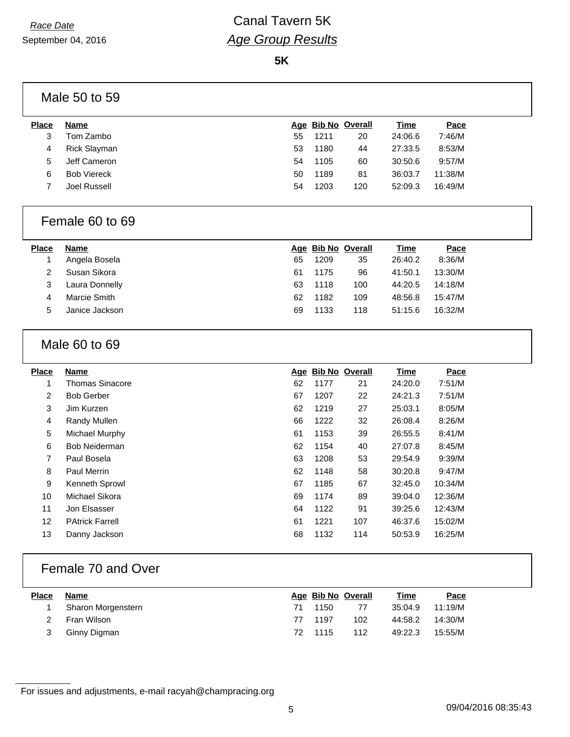**5K**

|              | Male 50 to 59       |    |                    |     |             |         |  |
|--------------|---------------------|----|--------------------|-----|-------------|---------|--|
| <b>Place</b> | Name                |    | Age Bib No Overall |     | <b>Time</b> | Pace    |  |
| 3            | Tom Zambo           | 55 | 1211               | 20  | 24:06.6     | 7:46/M  |  |
| 4            | <b>Rick Slayman</b> | 53 | 1180               | 44  | 27:33.5     | 8:53/M  |  |
| 5            | Jeff Cameron        | 54 | 1105               | 60  | 30:50.6     | 9:57/M  |  |
| 6            | <b>Bob Viereck</b>  | 50 | 1189               | 81  | 36:03.7     | 11:38/M |  |
|              | Joel Russell        | 54 | 1203               | 120 | 52:09.3     | 16:49/M |  |

### Female 60 to 69

| <b>Place</b> | <b>Name</b>    |    | Age Bib No Overall |     | <u>Time</u> | <b>Pace</b> |
|--------------|----------------|----|--------------------|-----|-------------|-------------|
|              | Angela Bosela  | 65 | 1209               | 35  | 26:40.2     | 8:36/M      |
|              | Susan Sikora   | 61 | 1175               | 96  | 41:50.1     | 13:30/M     |
| 3            | Laura Donnelly | 63 | 1118               | 100 | 44:20.5     | 14:18/M     |
| 4            | Marcie Smith   | 62 | 1182               | 109 | 48:56.8     | 15:47/M     |
| 5            | Janice Jackson | 69 | 1133               | 118 | 51:15.6     | 16:32/M     |

### Male 60 to 69

| Name                   |    |      |     | Time               | Pace    |
|------------------------|----|------|-----|--------------------|---------|
| <b>Thomas Sinacore</b> | 62 | 1177 | 21  | 24:20.0            | 7:51/M  |
| <b>Bob Gerber</b>      | 67 | 1207 | 22  | 24:21.3            | 7:51/M  |
| Jim Kurzen             | 62 | 1219 | 27  | 25:03.1            | 8:05/M  |
| Randy Mullen           | 66 | 1222 | 32  | 26:08.4            | 8:26/M  |
| Michael Murphy         | 61 | 1153 | 39  | 26:55.5            | 8:41/M  |
| <b>Bob Neiderman</b>   | 62 | 1154 | 40  | 27:07.8            | 8:45/M  |
| Paul Bosela            | 63 | 1208 | 53  | 29:54.9            | 9:39/M  |
| Paul Merrin            | 62 | 1148 | 58  | 30:20.8            | 9:47/M  |
| Kenneth Sprowl         | 67 | 1185 | 67  | 32:45.0            | 10:34/M |
| Michael Sikora         | 69 | 1174 | 89  | 39:04.0            | 12:36/M |
| Jon Elsasser           | 64 | 1122 | 91  | 39:25.6            | 12:43/M |
| <b>PAtrick Farrell</b> | 61 | 1221 | 107 | 46:37.6            | 15:02/M |
| Danny Jackson          | 68 | 1132 | 114 | 50:53.9            | 16:25/M |
|                        |    |      |     | Age Bib No Overall |         |

### Female 70 and Over

| <b>Place</b> | Name                 |      | Age Bib No Overall |     | Time    | Pace    |
|--------------|----------------------|------|--------------------|-----|---------|---------|
|              | 1 Sharon Morgenstern | 71 - | 1150               | -77 | 35:04.9 | 11:19/M |
|              | 2 Fran Wilson        |      | 77 1197            | 102 | 44:58.2 | 14:30/M |
|              | Ginny Digman         |      | 72 1115            | 112 | 49:22.3 | 15:55/M |

For issues and adjustments, e-mail racyah@champracing.org